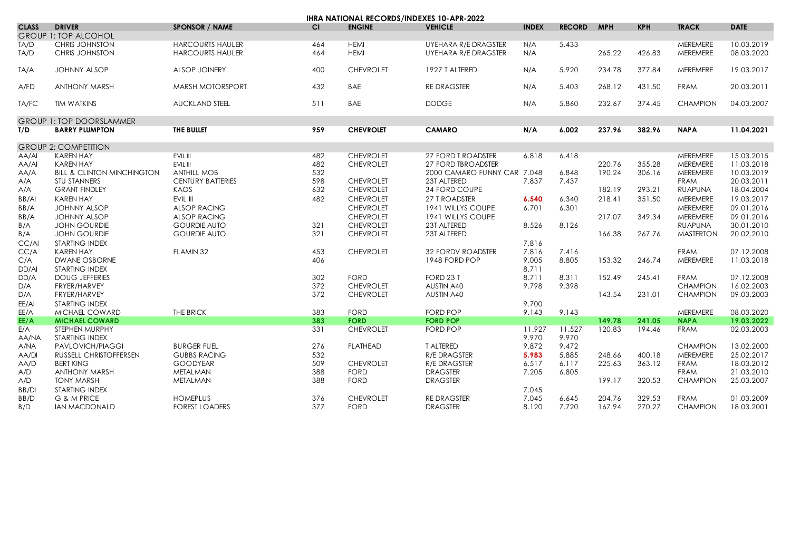| <b>IHRA NATIONAL RECORDS/INDEXES 10-APR-2022</b> |                                       |                          |           |                  |                             |              |               |            |            |                  |             |  |
|--------------------------------------------------|---------------------------------------|--------------------------|-----------|------------------|-----------------------------|--------------|---------------|------------|------------|------------------|-------------|--|
| <b>CLASS</b>                                     | <b>DRIVER</b>                         | <b>SPONSOR / NAME</b>    | <b>CI</b> | <b>ENGINE</b>    | <b>VEHICLE</b>              | <b>INDEX</b> | <b>RECORD</b> | <b>MPH</b> | <b>KPH</b> | <b>TRACK</b>     | <b>DATE</b> |  |
|                                                  | <b>GROUP 1: TOP ALCOHOL</b>           |                          |           |                  |                             |              |               |            |            |                  |             |  |
| TA/D                                             | <b>CHRIS JOHNSTON</b>                 | <b>HARCOURTS HAULER</b>  | 464       | <b>HEMI</b>      | <b>UYEHARA R/E DRAGSTER</b> | N/A          | 5.433         |            |            | MEREMERE         | 10.03.2019  |  |
| TA/D                                             | <b>CHRIS JOHNSTON</b>                 | <b>HARCOURTS HAULER</b>  | 464       | <b>HEMI</b>      | UYEHARA R/E DRAGSTER        | N/A          |               | 265.22     | 426.83     | MEREMERE         | 08.03.2020  |  |
|                                                  |                                       |                          |           |                  |                             |              |               |            |            |                  |             |  |
| TA/A                                             | <b>JOHNNY ALSOP</b>                   | <b>ALSOP JOINERY</b>     | 400       | <b>CHEVROLET</b> | 1927 T ALTERED              | N/A          | 5.920         | 234.78     | 377.84     | MEREMERE         | 19.03.2017  |  |
|                                                  |                                       |                          |           |                  |                             |              |               |            |            |                  |             |  |
| A/FD                                             | <b>ANTHONY MARSH</b>                  | <b>MARSH MOTORSPORT</b>  | 432       | <b>BAE</b>       | <b>RE DRAGSTER</b>          | N/A          | 5.403         | 268.12     | 431.50     | FRAM             | 20.03.2011  |  |
|                                                  |                                       |                          |           |                  |                             |              |               |            |            |                  |             |  |
| TA/FC                                            | <b>TIM WATKINS</b>                    | <b>AUCKLAND STEEL</b>    | 511       | <b>BAE</b>       | <b>DODGE</b>                | N/A          | 5.860         | 232.67     | 374.45     | <b>CHAMPION</b>  | 04.03.2007  |  |
|                                                  |                                       |                          |           |                  |                             |              |               |            |            |                  |             |  |
|                                                  | <b>GROUP 1: TOP DOORSLAMMER</b>       |                          |           |                  |                             |              |               |            |            |                  |             |  |
| T/D                                              | <b>BARRY PLUMPTON</b>                 | THE BULLET               | 959       | <b>CHEVROLET</b> | <b>CAMARO</b>               | N/A          | 6.002         | 237.96     | 382.96     | <b>NAPA</b>      | 11.04.2021  |  |
|                                                  | <b>GROUP 2: COMPETITION</b>           |                          |           |                  |                             |              |               |            |            |                  |             |  |
| AA/AI                                            | <b>KAREN HAY</b>                      | EVIL III                 | 482       | <b>CHEVROLET</b> | 27 FORD T ROADSTER          | 6.818        | 6.418         |            |            | MEREMERE         | 15.03.2015  |  |
| AA/AI                                            | <b>KAREN HAY</b>                      |                          | 482       | <b>CHEVROLET</b> |                             |              |               | 220.76     | 355.28     | MEREMERE         | 11.03.2018  |  |
|                                                  |                                       | EVIL III                 | 532       |                  | 27 FORD TBROADSTER          |              |               |            |            |                  | 10.03.2019  |  |
| AA/A                                             | <b>BILL &amp; CLINTON MINCHINGTON</b> | <b>ANTHILL MOB</b>       |           |                  | 2000 CAMARO FUNNY CAR 7.048 |              | 6.848         | 190.24     | 306.16     | <b>MEREMERE</b>  |             |  |
| A/A                                              | <b>STU STANNERS</b>                   | <b>CENTURY BATTERIES</b> | 598       | <b>CHEVROLET</b> | 23T ALTERED                 | 7.837        | 7.437         |            |            | <b>FRAM</b>      | 20.03.2011  |  |
| A/A                                              | <b>GRANT FINDLEY</b>                  | KAOS                     | 632       | <b>CHEVROLET</b> | <b>34 FORD COUPE</b>        |              |               | 182.19     | 293.21     | <b>RUAPUNA</b>   | 18.04.2004  |  |
| BB/Al                                            | <b>KAREN HAY</b>                      | EVIL III                 | 482       | <b>CHEVROLET</b> | 27 T ROADSTER               | 6.540        | 6.340         | 218.41     | 351.50     | MEREMERE         | 19.03.2017  |  |
| BB/A                                             | <b>JOHNNY ALSOP</b>                   | <b>ALSOP RACING</b>      |           | <b>CHEVROLET</b> | 1941 WILLYS COUPE           | 6.701        | 6.301         |            |            | MEREMERE         | 09.01.2016  |  |
| BB/A                                             | <b>JOHNNY ALSOP</b>                   | <b>ALSOP RACING</b>      |           | <b>CHEVROLET</b> | 1941 WILLYS COUPE           |              |               | 217.07     | 349.34     | MEREMERE         | 09.01.2016  |  |
| B/A                                              | <b>JOHN GOURDIE</b>                   | <b>GOURDIE AUTO</b>      | 321       | <b>CHEVROLET</b> | 23T ALTERED                 | 8.526        | 8.126         |            |            | <b>RUAPUNA</b>   | 30.01.2010  |  |
| B/A                                              | <b>JOHN GOURDIE</b>                   | <b>GOURDIE AUTO</b>      | 321       | <b>CHEVROLET</b> | 23T ALTERED                 |              |               | 166.38     | 267.76     | <b>MASTERTON</b> | 20.02.2010  |  |
| CC/AI                                            | <b>STARTING INDEX</b>                 |                          |           |                  |                             | 7.816        |               |            |            |                  |             |  |
| CC/A                                             | <b>KAREN HAY</b>                      | FLAMIN 32                | 453       | <b>CHEVROLET</b> | <b>32 FORDV ROADSTER</b>    | 7.816        | 7.416         |            |            | <b>FRAM</b>      | 07.12.2008  |  |
| C/A                                              | DWANE OSBORNE                         |                          | 406       |                  | 1948 FORD POP               | 9.005        | 8.805         | 153.32     | 246.74     | MEREMERE         | 11.03.2018  |  |
| DD/AI                                            | <b>STARTING INDEX</b>                 |                          |           |                  |                             | 8.711        |               |            |            |                  |             |  |
| DD/A                                             | <b>DOUG JEFFERIES</b>                 |                          | 302       | <b>FORD</b>      | FORD 23 T                   | 8.711        | 8.311         | 152.49     | 245.41     | <b>FRAM</b>      | 07.12.2008  |  |
| D/A                                              | FRYER/HARVEY                          |                          | 372       | <b>CHEVROLET</b> | AUSTIN A40                  | 9.798        | 9.398         |            |            | <b>CHAMPION</b>  | 16.02.2003  |  |
| D/A                                              | FRYER/HARVEY                          |                          | 372       | <b>CHEVROLET</b> | AUSTIN A40                  |              |               | 143.54     | 231.01     | <b>CHAMPION</b>  | 09.03.2003  |  |
| EE/AI                                            | <b>STARTING INDEX</b>                 |                          |           |                  |                             | 9.700        |               |            |            |                  |             |  |
| EE/A                                             | MICHAEL COWARD                        | THE BRICK                | 383       | <b>FORD</b>      | <b>FORD POP</b>             | 9.143        | 9.143         |            |            | MEREMERE         | 08.03.2020  |  |
| EE/A                                             | <b>MICHAEL COWARD</b>                 |                          | 383       | <b>FORD</b>      | <b>FORD POP</b>             |              |               | 149.78     | 241.05     | <b>NAPA</b>      | 19.03.2022  |  |
| E/A                                              | STEPHEN MURPHY                        |                          | 331       | <b>CHEVROLET</b> | <b>FORD POP</b>             | 11.927       | 11.527        | 120.83     | 194.46     | <b>FRAM</b>      | 02.03.2003  |  |
|                                                  | <b>STARTING INDEX</b>                 |                          |           |                  |                             | 9.970        | 9.970         |            |            |                  |             |  |
| AA/NA                                            | PAVLOVICH/PIAGGI                      | <b>BURGER FUEL</b>       | 276       | <b>FLATHEAD</b>  | <b>T ALTERED</b>            | 9.872        | 9.472         |            |            | <b>CHAMPION</b>  | 13.02.2000  |  |
| A/NA                                             |                                       |                          |           |                  |                             |              |               |            |            |                  |             |  |
| AA/DI                                            | RUSSELL CHRISTOFFERSEN                | <b>GUBBS RACING</b>      | 532       |                  | <b>R/E DRAGSTER</b>         | 5.983        | 5.885         | 248.66     | 400.18     | MEREMERE         | 25.02.2017  |  |
| AA/D                                             | <b>BERT KING</b>                      | <b>GOODYEAR</b>          | 509       | <b>CHEVROLET</b> | <b>R/E DRAGSTER</b>         | 6.517        | 6.117         | 225.63     | 363.12     | <b>FRAM</b>      | 18.03.2012  |  |
| A/D                                              | <b>ANTHONY MARSH</b>                  | <b>METALMAN</b>          | 388       | <b>FORD</b>      | <b>DRAGSTER</b>             | 7.205        | 6.805         |            |            | <b>FRAM</b>      | 21.03.2010  |  |
| A/D                                              | <b>TONY MARSH</b>                     | <b>METALMAN</b>          | 388       | <b>FORD</b>      | <b>DRAGSTER</b>             |              |               | 199.17     | 320.53     | <b>CHAMPION</b>  | 25.03.2007  |  |
| BB/DI                                            | <b>STARTING INDEX</b>                 |                          |           |                  |                             | 7.045        |               |            |            |                  |             |  |
| BB/D                                             | G & M PRICE                           | <b>HOMEPLUS</b>          | 376       | <b>CHEVROLET</b> | <b>RE DRAGSTER</b>          | 7.045        | 6.645         | 204.76     | 329.53     | <b>FRAM</b>      | 01.03.2009  |  |
| B/D                                              | <b>IAN MACDONALD</b>                  | <b>FOREST LOADERS</b>    | 377       | <b>FORD</b>      | <b>DRAGSTER</b>             | 8.120        | 7.720         | 167.94     | 270.27     | <b>CHAMPION</b>  | 18.03.2001  |  |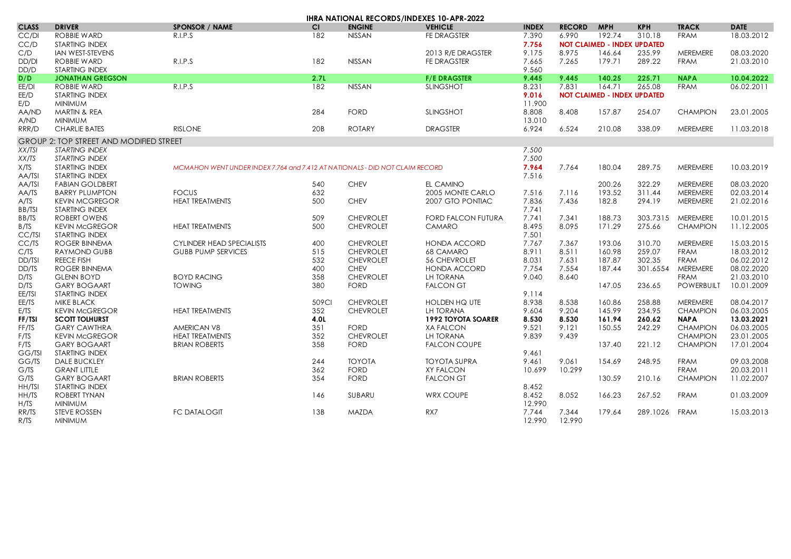| <b>SPONSOR / NAME</b><br><b>ENGINE</b><br><b>VEHICLE</b><br><b>RECORD</b><br><b>MPH</b><br><b>DATE</b><br><b>CLASS</b><br><b>DRIVER</b><br><b>CI</b><br><b>INDEX</b><br><b>KPH</b><br><b>TRACK</b><br><b>ROBBIE WARD</b><br>182<br>6.990<br>192.74<br>310.18<br>18.03.2012<br>CC/DI<br>R.I.P.S<br><b>NISSAN</b><br>FE DRAGSTER<br>7.390<br><b>FRAM</b><br>CC/D<br>STARTING INDEX<br>7.756<br><b>NOT CLAIMED - INDEX UPDATED</b><br>IAN WEST-STEVENS<br>9.175<br>146.64<br>235.99<br>08.03.2020<br>C/D<br>2013 R/E DRAGSTER<br>8.975<br>MEREMERE<br>R.I.P.S<br>DD/DI<br>ROBBIE WARD<br>182<br><b>NISSAN</b><br><b>FE DRAGSTER</b><br>7.665<br>7.265<br>179.71<br>289.22<br>21.03.2010<br><b>FRAM</b><br>9.560<br>DD/D<br><b>STARTING INDEX</b><br>10.04.2022<br>D/D<br>2.7L<br><b>F/E DRAGSTER</b><br>9.445<br>9.445<br>140.25<br>225.71<br><b>NAPA</b><br><b>JONATHAN GREGSON</b><br>R.I.P.S<br>EE/DI<br><b>ROBBIE WARD</b><br>182<br><b>NISSAN</b><br><b>SLINGSHOT</b><br>8.231<br>7.831<br>164.71<br>265.08<br><b>FRAM</b><br>06.02.2011<br>EE/D<br>9.016<br><b>NOT CLAIMED - INDEX UPDATED</b><br><b>STARTING INDEX</b><br>11.900<br>E/D<br><b>MINIMUM</b><br>284<br><b>FORD</b><br><b>SLINGSHOT</b><br>8.808<br>157.87<br>23.01.2005<br>AA/ND<br>MARTIN & REA<br>8.408<br>254.07<br><b>CHAMPION</b><br>13.010<br>A/ND<br><b>MINIMUM</b><br><b>RISLONE</b><br>6.924<br>6.524<br>RRR/D<br><b>CHARLIE BATES</b><br>20B<br><b>ROTARY</b><br><b>DRAGSTER</b><br>210.08<br>338.09<br><b>MEREMERE</b><br>11.03.2018<br><b>GROUP 2: TOP STREET AND MODIFIED STREET</b><br>7.500<br><b>STARTING INDEX</b><br>XX/TSI<br><b>STARTING INDEX</b><br>7.500<br>XX/TS<br>X/TS<br>STARTING INDEX<br>7.964<br>7.764<br>180.04<br>289.75<br>MEREMERE<br>10.03.2019<br>MCMAHON WENT UNDER INDEX 7.764 and 7.412 AT NATIONALS - DID NOT CLAIM RECORD<br><b>STARTING INDEX</b><br>7.516<br>AA/TSI<br><b>CHEV</b><br>EL CAMINO<br>08.03.2020<br>AA/TSI<br><b>FABIAN GOLDBERT</b><br>540<br>200.26<br>322.29<br><b>MEREMERE</b><br><b>FOCUS</b><br>632<br>193.52<br>MEREMERE<br>02.03.2014<br><b>BARRY PLUMPTON</b><br>2005 MONTE CARLO<br>7.516<br>7.116<br>311.44<br>AA/TS<br>500<br><b>CHEV</b><br>7.836<br>7.436<br>294.19<br>21.02.2016<br>A/TS<br><b>KEVIN MCGREGOR</b><br><b>HEAT TREATMENTS</b><br>2007 GTO PONTIAC<br>182.8<br>MEREMERE<br>BB/TSI<br>7.741<br>STARTING INDEX<br>BB/TS<br><b>ROBERT OWENS</b><br>509<br><b>CHEVROLET</b><br><b>FORD FALCON FUTURA</b><br>7.741<br>7.341<br>188.73<br>303.7315<br><b>MEREMERE</b><br>10.01.2015<br>B/TS<br><b>HEAT TREATMENTS</b><br>500<br>8.495<br>275.66<br>11.12.2005<br><b>KEVIN MCGREGOR</b><br><b>CHEVROLET</b><br><b>CAMARO</b><br>8.095<br>171.29<br><b>CHAMPION</b><br>CC/TSI<br><b>STARTING INDEX</b><br>7.501<br>15.03.2015<br>CC/TS<br><b>ROGER BINNEMA</b><br><b>CYLINDER HEAD SPECIALISTS</b><br>400<br><b>CHEVROLET</b><br><b>HONDA ACCORD</b><br>7.767<br>7.367<br>193.06<br>310.70<br><b>MEREMERE</b><br>515<br>8.911<br>259.07<br>18.03.2012<br>C/TS<br><b>GUBB PUMP SERVICES</b><br><b>CHEVROLET</b><br><b>68 CAMARO</b><br>8.511<br>160.98<br><b>FRAM</b><br>RAYMOND GUBB<br>06.02.2012<br><b>REECE FISH</b><br>532<br><b>CHEVROLET</b><br>56 CHEVROLET<br>8.031<br>302.35<br><b>FRAM</b><br>DD/TSI<br>7.631<br>187.87<br>08.02.2020<br>DD/TS<br><b>ROGER BINNEMA</b><br>400<br><b>CHEV</b><br><b>HONDA ACCORD</b><br>7.754<br>7.554<br>301.6554<br>MEREMERE<br>187.44<br><b>BOYD RACING</b><br>358<br><b>CHEVROLET</b><br>9.040<br>21.03.2010<br>D/TS<br><b>GLENN BOYD</b><br>LH TORANA<br>8.640<br><b>FRAM</b><br>D/TS<br><b>TOWING</b><br>380<br><b>FORD</b><br><b>FALCON GT</b><br>147.05<br>POWERBUILT<br>10.01.2009<br><b>GARY BOGAART</b><br>236.65<br>EE/TSI<br><b>STARTING INDEX</b><br>9.114<br>EE/TS<br>8.938<br>08.04.2017<br><b>MIKE BLACK</b><br>509CI<br><b>CHEVROLET</b><br>HOLDEN HQ UTE<br>8.538<br>160.86<br>258.88<br><b>MEREMERE</b><br>352<br>9.604<br>06.03.2005<br>E/TS<br><b>KEVIN MCGREGOR</b><br><b>HEAT TREATMENTS</b><br><b>CHEVROLET</b><br>LH TORANA<br>9.204<br>145.99<br>234.95<br><b>CHAMPION</b><br>FF/TSI<br>4.0L<br><b>1992 TOYOTA SOARER</b><br>8.530<br>8.530<br>260.62<br>13.03.2021<br><b>SCOTT TOLHURST</b><br>161.94<br><b>NAPA</b><br><b>FORD</b><br>06.03.2005<br>FF/TS<br><b>GARY CAWTHRA</b><br><b>AMERICAN V8</b><br>351<br><b>XA FALCON</b><br>9.521<br>9.121<br>150.55<br>242.29<br><b>CHAMPION</b><br>F/TS<br><b>HEAT TREATMENTS</b><br>352<br><b>CHEVROLET</b><br><b>LH TORANA</b><br>9.839<br><b>CHAMPION</b><br>23.01.2005<br><b>KEVIN MCGREGOR</b><br>9.439<br>358<br>137.40<br>F/TS<br><b>GARY BOGAART</b><br><b>BRIAN ROBERTS</b><br><b>FORD</b><br><b>FALCON COUPE</b><br>221.12<br><b>CHAMPION</b><br>17.01.2004<br>9.461<br><b>GG/TSI</b><br><b>STARTING INDEX</b><br>244<br>09.03.2008<br>GG/TS<br><b>DALE BUCKLEY</b><br><b>TOYOTA</b><br><b>TOYOTA SUPRA</b><br>9.461<br>9.061<br>154.69<br>248.95<br><b>FRAM</b><br>362<br><b>FORD</b><br>10.699<br>10.299<br><b>FRAM</b><br>20.03.2011<br>G/TS<br><b>GRANT LITTLE</b><br><b>XY FALCON</b><br><b>GARY BOGAART</b><br><b>BRIAN ROBERTS</b><br>354<br><b>FORD</b><br><b>FALCON GT</b><br>130.59<br>210.16<br><b>CHAMPION</b><br>11.02.2007<br>G/TS<br>8.452<br>HH/TSI<br><b>STARTING INDEX</b><br><b>ROBERT TYNAN</b><br>HH/TS<br>146<br>SUBARU<br><b>WRX COUPE</b><br>8.452<br>8.052<br>166.23<br>267.52<br><b>FRAM</b><br>01.03.2009<br>12.990<br>H/TS<br><b>MINIMUM</b><br>7.344<br>RR/TS<br><b>STEVE ROSSEN</b><br><b>FC DATALOGIT</b><br>13B<br><b>MAZDA</b><br>RX7<br>7.744<br>179.64<br>289.1026<br><b>FRAM</b><br>15.03.2013 |      | <b>IHRA NATIONAL RECORDS/INDEXES 10-APR-2022</b> |  |  |  |  |        |        |  |  |  |  |  |
|------------------------------------------------------------------------------------------------------------------------------------------------------------------------------------------------------------------------------------------------------------------------------------------------------------------------------------------------------------------------------------------------------------------------------------------------------------------------------------------------------------------------------------------------------------------------------------------------------------------------------------------------------------------------------------------------------------------------------------------------------------------------------------------------------------------------------------------------------------------------------------------------------------------------------------------------------------------------------------------------------------------------------------------------------------------------------------------------------------------------------------------------------------------------------------------------------------------------------------------------------------------------------------------------------------------------------------------------------------------------------------------------------------------------------------------------------------------------------------------------------------------------------------------------------------------------------------------------------------------------------------------------------------------------------------------------------------------------------------------------------------------------------------------------------------------------------------------------------------------------------------------------------------------------------------------------------------------------------------------------------------------------------------------------------------------------------------------------------------------------------------------------------------------------------------------------------------------------------------------------------------------------------------------------------------------------------------------------------------------------------------------------------------------------------------------------------------------------------------------------------------------------------------------------------------------------------------------------------------------------------------------------------------------------------------------------------------------------------------------------------------------------------------------------------------------------------------------------------------------------------------------------------------------------------------------------------------------------------------------------------------------------------------------------------------------------------------------------------------------------------------------------------------------------------------------------------------------------------------------------------------------------------------------------------------------------------------------------------------------------------------------------------------------------------------------------------------------------------------------------------------------------------------------------------------------------------------------------------------------------------------------------------------------------------------------------------------------------------------------------------------------------------------------------------------------------------------------------------------------------------------------------------------------------------------------------------------------------------------------------------------------------------------------------------------------------------------------------------------------------------------------------------------------------------------------------------------------------------------------------------------------------------------------------------------------------------------------------------------------------------------------------------------------------------------------------------------------------------------------------------------------------------------------------------------------------------------------------------------------------------------------------------------------------------------------------------------------------------------------------------------------------------------------------------------------------------------------------------------------------------------------------------------------------------------------------------------------------------------------------------------------------------------------------------------------------------------------------------------------------------------------------------------------------------------------------------------------------------------------------------------------------------------------------------------------------------------------------------------------------------------------------------------------------------------------------------------------------------------------------------------------------------------------------------------------------------------------------------------|------|--------------------------------------------------|--|--|--|--|--------|--------|--|--|--|--|--|
|                                                                                                                                                                                                                                                                                                                                                                                                                                                                                                                                                                                                                                                                                                                                                                                                                                                                                                                                                                                                                                                                                                                                                                                                                                                                                                                                                                                                                                                                                                                                                                                                                                                                                                                                                                                                                                                                                                                                                                                                                                                                                                                                                                                                                                                                                                                                                                                                                                                                                                                                                                                                                                                                                                                                                                                                                                                                                                                                                                                                                                                                                                                                                                                                                                                                                                                                                                                                                                                                                                                                                                                                                                                                                                                                                                                                                                                                                                                                                                                                                                                                                                                                                                                                                                                                                                                                                                                                                                                                                                                                                                                                                                                                                                                                                                                                                                                                                                                                                                                                                                                                                                                                                                                                                                                                                                                                                                                                                                                                                                                                                                                                            |      |                                                  |  |  |  |  |        |        |  |  |  |  |  |
|                                                                                                                                                                                                                                                                                                                                                                                                                                                                                                                                                                                                                                                                                                                                                                                                                                                                                                                                                                                                                                                                                                                                                                                                                                                                                                                                                                                                                                                                                                                                                                                                                                                                                                                                                                                                                                                                                                                                                                                                                                                                                                                                                                                                                                                                                                                                                                                                                                                                                                                                                                                                                                                                                                                                                                                                                                                                                                                                                                                                                                                                                                                                                                                                                                                                                                                                                                                                                                                                                                                                                                                                                                                                                                                                                                                                                                                                                                                                                                                                                                                                                                                                                                                                                                                                                                                                                                                                                                                                                                                                                                                                                                                                                                                                                                                                                                                                                                                                                                                                                                                                                                                                                                                                                                                                                                                                                                                                                                                                                                                                                                                                            |      |                                                  |  |  |  |  |        |        |  |  |  |  |  |
|                                                                                                                                                                                                                                                                                                                                                                                                                                                                                                                                                                                                                                                                                                                                                                                                                                                                                                                                                                                                                                                                                                                                                                                                                                                                                                                                                                                                                                                                                                                                                                                                                                                                                                                                                                                                                                                                                                                                                                                                                                                                                                                                                                                                                                                                                                                                                                                                                                                                                                                                                                                                                                                                                                                                                                                                                                                                                                                                                                                                                                                                                                                                                                                                                                                                                                                                                                                                                                                                                                                                                                                                                                                                                                                                                                                                                                                                                                                                                                                                                                                                                                                                                                                                                                                                                                                                                                                                                                                                                                                                                                                                                                                                                                                                                                                                                                                                                                                                                                                                                                                                                                                                                                                                                                                                                                                                                                                                                                                                                                                                                                                                            |      |                                                  |  |  |  |  |        |        |  |  |  |  |  |
|                                                                                                                                                                                                                                                                                                                                                                                                                                                                                                                                                                                                                                                                                                                                                                                                                                                                                                                                                                                                                                                                                                                                                                                                                                                                                                                                                                                                                                                                                                                                                                                                                                                                                                                                                                                                                                                                                                                                                                                                                                                                                                                                                                                                                                                                                                                                                                                                                                                                                                                                                                                                                                                                                                                                                                                                                                                                                                                                                                                                                                                                                                                                                                                                                                                                                                                                                                                                                                                                                                                                                                                                                                                                                                                                                                                                                                                                                                                                                                                                                                                                                                                                                                                                                                                                                                                                                                                                                                                                                                                                                                                                                                                                                                                                                                                                                                                                                                                                                                                                                                                                                                                                                                                                                                                                                                                                                                                                                                                                                                                                                                                                            |      |                                                  |  |  |  |  |        |        |  |  |  |  |  |
|                                                                                                                                                                                                                                                                                                                                                                                                                                                                                                                                                                                                                                                                                                                                                                                                                                                                                                                                                                                                                                                                                                                                                                                                                                                                                                                                                                                                                                                                                                                                                                                                                                                                                                                                                                                                                                                                                                                                                                                                                                                                                                                                                                                                                                                                                                                                                                                                                                                                                                                                                                                                                                                                                                                                                                                                                                                                                                                                                                                                                                                                                                                                                                                                                                                                                                                                                                                                                                                                                                                                                                                                                                                                                                                                                                                                                                                                                                                                                                                                                                                                                                                                                                                                                                                                                                                                                                                                                                                                                                                                                                                                                                                                                                                                                                                                                                                                                                                                                                                                                                                                                                                                                                                                                                                                                                                                                                                                                                                                                                                                                                                                            |      |                                                  |  |  |  |  |        |        |  |  |  |  |  |
|                                                                                                                                                                                                                                                                                                                                                                                                                                                                                                                                                                                                                                                                                                                                                                                                                                                                                                                                                                                                                                                                                                                                                                                                                                                                                                                                                                                                                                                                                                                                                                                                                                                                                                                                                                                                                                                                                                                                                                                                                                                                                                                                                                                                                                                                                                                                                                                                                                                                                                                                                                                                                                                                                                                                                                                                                                                                                                                                                                                                                                                                                                                                                                                                                                                                                                                                                                                                                                                                                                                                                                                                                                                                                                                                                                                                                                                                                                                                                                                                                                                                                                                                                                                                                                                                                                                                                                                                                                                                                                                                                                                                                                                                                                                                                                                                                                                                                                                                                                                                                                                                                                                                                                                                                                                                                                                                                                                                                                                                                                                                                                                                            |      |                                                  |  |  |  |  |        |        |  |  |  |  |  |
|                                                                                                                                                                                                                                                                                                                                                                                                                                                                                                                                                                                                                                                                                                                                                                                                                                                                                                                                                                                                                                                                                                                                                                                                                                                                                                                                                                                                                                                                                                                                                                                                                                                                                                                                                                                                                                                                                                                                                                                                                                                                                                                                                                                                                                                                                                                                                                                                                                                                                                                                                                                                                                                                                                                                                                                                                                                                                                                                                                                                                                                                                                                                                                                                                                                                                                                                                                                                                                                                                                                                                                                                                                                                                                                                                                                                                                                                                                                                                                                                                                                                                                                                                                                                                                                                                                                                                                                                                                                                                                                                                                                                                                                                                                                                                                                                                                                                                                                                                                                                                                                                                                                                                                                                                                                                                                                                                                                                                                                                                                                                                                                                            |      |                                                  |  |  |  |  |        |        |  |  |  |  |  |
|                                                                                                                                                                                                                                                                                                                                                                                                                                                                                                                                                                                                                                                                                                                                                                                                                                                                                                                                                                                                                                                                                                                                                                                                                                                                                                                                                                                                                                                                                                                                                                                                                                                                                                                                                                                                                                                                                                                                                                                                                                                                                                                                                                                                                                                                                                                                                                                                                                                                                                                                                                                                                                                                                                                                                                                                                                                                                                                                                                                                                                                                                                                                                                                                                                                                                                                                                                                                                                                                                                                                                                                                                                                                                                                                                                                                                                                                                                                                                                                                                                                                                                                                                                                                                                                                                                                                                                                                                                                                                                                                                                                                                                                                                                                                                                                                                                                                                                                                                                                                                                                                                                                                                                                                                                                                                                                                                                                                                                                                                                                                                                                                            |      |                                                  |  |  |  |  |        |        |  |  |  |  |  |
|                                                                                                                                                                                                                                                                                                                                                                                                                                                                                                                                                                                                                                                                                                                                                                                                                                                                                                                                                                                                                                                                                                                                                                                                                                                                                                                                                                                                                                                                                                                                                                                                                                                                                                                                                                                                                                                                                                                                                                                                                                                                                                                                                                                                                                                                                                                                                                                                                                                                                                                                                                                                                                                                                                                                                                                                                                                                                                                                                                                                                                                                                                                                                                                                                                                                                                                                                                                                                                                                                                                                                                                                                                                                                                                                                                                                                                                                                                                                                                                                                                                                                                                                                                                                                                                                                                                                                                                                                                                                                                                                                                                                                                                                                                                                                                                                                                                                                                                                                                                                                                                                                                                                                                                                                                                                                                                                                                                                                                                                                                                                                                                                            |      |                                                  |  |  |  |  |        |        |  |  |  |  |  |
|                                                                                                                                                                                                                                                                                                                                                                                                                                                                                                                                                                                                                                                                                                                                                                                                                                                                                                                                                                                                                                                                                                                                                                                                                                                                                                                                                                                                                                                                                                                                                                                                                                                                                                                                                                                                                                                                                                                                                                                                                                                                                                                                                                                                                                                                                                                                                                                                                                                                                                                                                                                                                                                                                                                                                                                                                                                                                                                                                                                                                                                                                                                                                                                                                                                                                                                                                                                                                                                                                                                                                                                                                                                                                                                                                                                                                                                                                                                                                                                                                                                                                                                                                                                                                                                                                                                                                                                                                                                                                                                                                                                                                                                                                                                                                                                                                                                                                                                                                                                                                                                                                                                                                                                                                                                                                                                                                                                                                                                                                                                                                                                                            |      |                                                  |  |  |  |  |        |        |  |  |  |  |  |
|                                                                                                                                                                                                                                                                                                                                                                                                                                                                                                                                                                                                                                                                                                                                                                                                                                                                                                                                                                                                                                                                                                                                                                                                                                                                                                                                                                                                                                                                                                                                                                                                                                                                                                                                                                                                                                                                                                                                                                                                                                                                                                                                                                                                                                                                                                                                                                                                                                                                                                                                                                                                                                                                                                                                                                                                                                                                                                                                                                                                                                                                                                                                                                                                                                                                                                                                                                                                                                                                                                                                                                                                                                                                                                                                                                                                                                                                                                                                                                                                                                                                                                                                                                                                                                                                                                                                                                                                                                                                                                                                                                                                                                                                                                                                                                                                                                                                                                                                                                                                                                                                                                                                                                                                                                                                                                                                                                                                                                                                                                                                                                                                            |      |                                                  |  |  |  |  |        |        |  |  |  |  |  |
|                                                                                                                                                                                                                                                                                                                                                                                                                                                                                                                                                                                                                                                                                                                                                                                                                                                                                                                                                                                                                                                                                                                                                                                                                                                                                                                                                                                                                                                                                                                                                                                                                                                                                                                                                                                                                                                                                                                                                                                                                                                                                                                                                                                                                                                                                                                                                                                                                                                                                                                                                                                                                                                                                                                                                                                                                                                                                                                                                                                                                                                                                                                                                                                                                                                                                                                                                                                                                                                                                                                                                                                                                                                                                                                                                                                                                                                                                                                                                                                                                                                                                                                                                                                                                                                                                                                                                                                                                                                                                                                                                                                                                                                                                                                                                                                                                                                                                                                                                                                                                                                                                                                                                                                                                                                                                                                                                                                                                                                                                                                                                                                                            |      |                                                  |  |  |  |  |        |        |  |  |  |  |  |
|                                                                                                                                                                                                                                                                                                                                                                                                                                                                                                                                                                                                                                                                                                                                                                                                                                                                                                                                                                                                                                                                                                                                                                                                                                                                                                                                                                                                                                                                                                                                                                                                                                                                                                                                                                                                                                                                                                                                                                                                                                                                                                                                                                                                                                                                                                                                                                                                                                                                                                                                                                                                                                                                                                                                                                                                                                                                                                                                                                                                                                                                                                                                                                                                                                                                                                                                                                                                                                                                                                                                                                                                                                                                                                                                                                                                                                                                                                                                                                                                                                                                                                                                                                                                                                                                                                                                                                                                                                                                                                                                                                                                                                                                                                                                                                                                                                                                                                                                                                                                                                                                                                                                                                                                                                                                                                                                                                                                                                                                                                                                                                                                            |      |                                                  |  |  |  |  |        |        |  |  |  |  |  |
|                                                                                                                                                                                                                                                                                                                                                                                                                                                                                                                                                                                                                                                                                                                                                                                                                                                                                                                                                                                                                                                                                                                                                                                                                                                                                                                                                                                                                                                                                                                                                                                                                                                                                                                                                                                                                                                                                                                                                                                                                                                                                                                                                                                                                                                                                                                                                                                                                                                                                                                                                                                                                                                                                                                                                                                                                                                                                                                                                                                                                                                                                                                                                                                                                                                                                                                                                                                                                                                                                                                                                                                                                                                                                                                                                                                                                                                                                                                                                                                                                                                                                                                                                                                                                                                                                                                                                                                                                                                                                                                                                                                                                                                                                                                                                                                                                                                                                                                                                                                                                                                                                                                                                                                                                                                                                                                                                                                                                                                                                                                                                                                                            |      |                                                  |  |  |  |  |        |        |  |  |  |  |  |
|                                                                                                                                                                                                                                                                                                                                                                                                                                                                                                                                                                                                                                                                                                                                                                                                                                                                                                                                                                                                                                                                                                                                                                                                                                                                                                                                                                                                                                                                                                                                                                                                                                                                                                                                                                                                                                                                                                                                                                                                                                                                                                                                                                                                                                                                                                                                                                                                                                                                                                                                                                                                                                                                                                                                                                                                                                                                                                                                                                                                                                                                                                                                                                                                                                                                                                                                                                                                                                                                                                                                                                                                                                                                                                                                                                                                                                                                                                                                                                                                                                                                                                                                                                                                                                                                                                                                                                                                                                                                                                                                                                                                                                                                                                                                                                                                                                                                                                                                                                                                                                                                                                                                                                                                                                                                                                                                                                                                                                                                                                                                                                                                            |      |                                                  |  |  |  |  |        |        |  |  |  |  |  |
|                                                                                                                                                                                                                                                                                                                                                                                                                                                                                                                                                                                                                                                                                                                                                                                                                                                                                                                                                                                                                                                                                                                                                                                                                                                                                                                                                                                                                                                                                                                                                                                                                                                                                                                                                                                                                                                                                                                                                                                                                                                                                                                                                                                                                                                                                                                                                                                                                                                                                                                                                                                                                                                                                                                                                                                                                                                                                                                                                                                                                                                                                                                                                                                                                                                                                                                                                                                                                                                                                                                                                                                                                                                                                                                                                                                                                                                                                                                                                                                                                                                                                                                                                                                                                                                                                                                                                                                                                                                                                                                                                                                                                                                                                                                                                                                                                                                                                                                                                                                                                                                                                                                                                                                                                                                                                                                                                                                                                                                                                                                                                                                                            |      |                                                  |  |  |  |  |        |        |  |  |  |  |  |
|                                                                                                                                                                                                                                                                                                                                                                                                                                                                                                                                                                                                                                                                                                                                                                                                                                                                                                                                                                                                                                                                                                                                                                                                                                                                                                                                                                                                                                                                                                                                                                                                                                                                                                                                                                                                                                                                                                                                                                                                                                                                                                                                                                                                                                                                                                                                                                                                                                                                                                                                                                                                                                                                                                                                                                                                                                                                                                                                                                                                                                                                                                                                                                                                                                                                                                                                                                                                                                                                                                                                                                                                                                                                                                                                                                                                                                                                                                                                                                                                                                                                                                                                                                                                                                                                                                                                                                                                                                                                                                                                                                                                                                                                                                                                                                                                                                                                                                                                                                                                                                                                                                                                                                                                                                                                                                                                                                                                                                                                                                                                                                                                            |      |                                                  |  |  |  |  |        |        |  |  |  |  |  |
|                                                                                                                                                                                                                                                                                                                                                                                                                                                                                                                                                                                                                                                                                                                                                                                                                                                                                                                                                                                                                                                                                                                                                                                                                                                                                                                                                                                                                                                                                                                                                                                                                                                                                                                                                                                                                                                                                                                                                                                                                                                                                                                                                                                                                                                                                                                                                                                                                                                                                                                                                                                                                                                                                                                                                                                                                                                                                                                                                                                                                                                                                                                                                                                                                                                                                                                                                                                                                                                                                                                                                                                                                                                                                                                                                                                                                                                                                                                                                                                                                                                                                                                                                                                                                                                                                                                                                                                                                                                                                                                                                                                                                                                                                                                                                                                                                                                                                                                                                                                                                                                                                                                                                                                                                                                                                                                                                                                                                                                                                                                                                                                                            |      |                                                  |  |  |  |  |        |        |  |  |  |  |  |
|                                                                                                                                                                                                                                                                                                                                                                                                                                                                                                                                                                                                                                                                                                                                                                                                                                                                                                                                                                                                                                                                                                                                                                                                                                                                                                                                                                                                                                                                                                                                                                                                                                                                                                                                                                                                                                                                                                                                                                                                                                                                                                                                                                                                                                                                                                                                                                                                                                                                                                                                                                                                                                                                                                                                                                                                                                                                                                                                                                                                                                                                                                                                                                                                                                                                                                                                                                                                                                                                                                                                                                                                                                                                                                                                                                                                                                                                                                                                                                                                                                                                                                                                                                                                                                                                                                                                                                                                                                                                                                                                                                                                                                                                                                                                                                                                                                                                                                                                                                                                                                                                                                                                                                                                                                                                                                                                                                                                                                                                                                                                                                                                            |      |                                                  |  |  |  |  |        |        |  |  |  |  |  |
|                                                                                                                                                                                                                                                                                                                                                                                                                                                                                                                                                                                                                                                                                                                                                                                                                                                                                                                                                                                                                                                                                                                                                                                                                                                                                                                                                                                                                                                                                                                                                                                                                                                                                                                                                                                                                                                                                                                                                                                                                                                                                                                                                                                                                                                                                                                                                                                                                                                                                                                                                                                                                                                                                                                                                                                                                                                                                                                                                                                                                                                                                                                                                                                                                                                                                                                                                                                                                                                                                                                                                                                                                                                                                                                                                                                                                                                                                                                                                                                                                                                                                                                                                                                                                                                                                                                                                                                                                                                                                                                                                                                                                                                                                                                                                                                                                                                                                                                                                                                                                                                                                                                                                                                                                                                                                                                                                                                                                                                                                                                                                                                                            |      |                                                  |  |  |  |  |        |        |  |  |  |  |  |
|                                                                                                                                                                                                                                                                                                                                                                                                                                                                                                                                                                                                                                                                                                                                                                                                                                                                                                                                                                                                                                                                                                                                                                                                                                                                                                                                                                                                                                                                                                                                                                                                                                                                                                                                                                                                                                                                                                                                                                                                                                                                                                                                                                                                                                                                                                                                                                                                                                                                                                                                                                                                                                                                                                                                                                                                                                                                                                                                                                                                                                                                                                                                                                                                                                                                                                                                                                                                                                                                                                                                                                                                                                                                                                                                                                                                                                                                                                                                                                                                                                                                                                                                                                                                                                                                                                                                                                                                                                                                                                                                                                                                                                                                                                                                                                                                                                                                                                                                                                                                                                                                                                                                                                                                                                                                                                                                                                                                                                                                                                                                                                                                            |      |                                                  |  |  |  |  |        |        |  |  |  |  |  |
|                                                                                                                                                                                                                                                                                                                                                                                                                                                                                                                                                                                                                                                                                                                                                                                                                                                                                                                                                                                                                                                                                                                                                                                                                                                                                                                                                                                                                                                                                                                                                                                                                                                                                                                                                                                                                                                                                                                                                                                                                                                                                                                                                                                                                                                                                                                                                                                                                                                                                                                                                                                                                                                                                                                                                                                                                                                                                                                                                                                                                                                                                                                                                                                                                                                                                                                                                                                                                                                                                                                                                                                                                                                                                                                                                                                                                                                                                                                                                                                                                                                                                                                                                                                                                                                                                                                                                                                                                                                                                                                                                                                                                                                                                                                                                                                                                                                                                                                                                                                                                                                                                                                                                                                                                                                                                                                                                                                                                                                                                                                                                                                                            |      |                                                  |  |  |  |  |        |        |  |  |  |  |  |
|                                                                                                                                                                                                                                                                                                                                                                                                                                                                                                                                                                                                                                                                                                                                                                                                                                                                                                                                                                                                                                                                                                                                                                                                                                                                                                                                                                                                                                                                                                                                                                                                                                                                                                                                                                                                                                                                                                                                                                                                                                                                                                                                                                                                                                                                                                                                                                                                                                                                                                                                                                                                                                                                                                                                                                                                                                                                                                                                                                                                                                                                                                                                                                                                                                                                                                                                                                                                                                                                                                                                                                                                                                                                                                                                                                                                                                                                                                                                                                                                                                                                                                                                                                                                                                                                                                                                                                                                                                                                                                                                                                                                                                                                                                                                                                                                                                                                                                                                                                                                                                                                                                                                                                                                                                                                                                                                                                                                                                                                                                                                                                                                            |      |                                                  |  |  |  |  |        |        |  |  |  |  |  |
|                                                                                                                                                                                                                                                                                                                                                                                                                                                                                                                                                                                                                                                                                                                                                                                                                                                                                                                                                                                                                                                                                                                                                                                                                                                                                                                                                                                                                                                                                                                                                                                                                                                                                                                                                                                                                                                                                                                                                                                                                                                                                                                                                                                                                                                                                                                                                                                                                                                                                                                                                                                                                                                                                                                                                                                                                                                                                                                                                                                                                                                                                                                                                                                                                                                                                                                                                                                                                                                                                                                                                                                                                                                                                                                                                                                                                                                                                                                                                                                                                                                                                                                                                                                                                                                                                                                                                                                                                                                                                                                                                                                                                                                                                                                                                                                                                                                                                                                                                                                                                                                                                                                                                                                                                                                                                                                                                                                                                                                                                                                                                                                                            |      |                                                  |  |  |  |  |        |        |  |  |  |  |  |
|                                                                                                                                                                                                                                                                                                                                                                                                                                                                                                                                                                                                                                                                                                                                                                                                                                                                                                                                                                                                                                                                                                                                                                                                                                                                                                                                                                                                                                                                                                                                                                                                                                                                                                                                                                                                                                                                                                                                                                                                                                                                                                                                                                                                                                                                                                                                                                                                                                                                                                                                                                                                                                                                                                                                                                                                                                                                                                                                                                                                                                                                                                                                                                                                                                                                                                                                                                                                                                                                                                                                                                                                                                                                                                                                                                                                                                                                                                                                                                                                                                                                                                                                                                                                                                                                                                                                                                                                                                                                                                                                                                                                                                                                                                                                                                                                                                                                                                                                                                                                                                                                                                                                                                                                                                                                                                                                                                                                                                                                                                                                                                                                            |      |                                                  |  |  |  |  |        |        |  |  |  |  |  |
|                                                                                                                                                                                                                                                                                                                                                                                                                                                                                                                                                                                                                                                                                                                                                                                                                                                                                                                                                                                                                                                                                                                                                                                                                                                                                                                                                                                                                                                                                                                                                                                                                                                                                                                                                                                                                                                                                                                                                                                                                                                                                                                                                                                                                                                                                                                                                                                                                                                                                                                                                                                                                                                                                                                                                                                                                                                                                                                                                                                                                                                                                                                                                                                                                                                                                                                                                                                                                                                                                                                                                                                                                                                                                                                                                                                                                                                                                                                                                                                                                                                                                                                                                                                                                                                                                                                                                                                                                                                                                                                                                                                                                                                                                                                                                                                                                                                                                                                                                                                                                                                                                                                                                                                                                                                                                                                                                                                                                                                                                                                                                                                                            |      |                                                  |  |  |  |  |        |        |  |  |  |  |  |
|                                                                                                                                                                                                                                                                                                                                                                                                                                                                                                                                                                                                                                                                                                                                                                                                                                                                                                                                                                                                                                                                                                                                                                                                                                                                                                                                                                                                                                                                                                                                                                                                                                                                                                                                                                                                                                                                                                                                                                                                                                                                                                                                                                                                                                                                                                                                                                                                                                                                                                                                                                                                                                                                                                                                                                                                                                                                                                                                                                                                                                                                                                                                                                                                                                                                                                                                                                                                                                                                                                                                                                                                                                                                                                                                                                                                                                                                                                                                                                                                                                                                                                                                                                                                                                                                                                                                                                                                                                                                                                                                                                                                                                                                                                                                                                                                                                                                                                                                                                                                                                                                                                                                                                                                                                                                                                                                                                                                                                                                                                                                                                                                            |      |                                                  |  |  |  |  |        |        |  |  |  |  |  |
|                                                                                                                                                                                                                                                                                                                                                                                                                                                                                                                                                                                                                                                                                                                                                                                                                                                                                                                                                                                                                                                                                                                                                                                                                                                                                                                                                                                                                                                                                                                                                                                                                                                                                                                                                                                                                                                                                                                                                                                                                                                                                                                                                                                                                                                                                                                                                                                                                                                                                                                                                                                                                                                                                                                                                                                                                                                                                                                                                                                                                                                                                                                                                                                                                                                                                                                                                                                                                                                                                                                                                                                                                                                                                                                                                                                                                                                                                                                                                                                                                                                                                                                                                                                                                                                                                                                                                                                                                                                                                                                                                                                                                                                                                                                                                                                                                                                                                                                                                                                                                                                                                                                                                                                                                                                                                                                                                                                                                                                                                                                                                                                                            |      |                                                  |  |  |  |  |        |        |  |  |  |  |  |
|                                                                                                                                                                                                                                                                                                                                                                                                                                                                                                                                                                                                                                                                                                                                                                                                                                                                                                                                                                                                                                                                                                                                                                                                                                                                                                                                                                                                                                                                                                                                                                                                                                                                                                                                                                                                                                                                                                                                                                                                                                                                                                                                                                                                                                                                                                                                                                                                                                                                                                                                                                                                                                                                                                                                                                                                                                                                                                                                                                                                                                                                                                                                                                                                                                                                                                                                                                                                                                                                                                                                                                                                                                                                                                                                                                                                                                                                                                                                                                                                                                                                                                                                                                                                                                                                                                                                                                                                                                                                                                                                                                                                                                                                                                                                                                                                                                                                                                                                                                                                                                                                                                                                                                                                                                                                                                                                                                                                                                                                                                                                                                                                            |      |                                                  |  |  |  |  |        |        |  |  |  |  |  |
|                                                                                                                                                                                                                                                                                                                                                                                                                                                                                                                                                                                                                                                                                                                                                                                                                                                                                                                                                                                                                                                                                                                                                                                                                                                                                                                                                                                                                                                                                                                                                                                                                                                                                                                                                                                                                                                                                                                                                                                                                                                                                                                                                                                                                                                                                                                                                                                                                                                                                                                                                                                                                                                                                                                                                                                                                                                                                                                                                                                                                                                                                                                                                                                                                                                                                                                                                                                                                                                                                                                                                                                                                                                                                                                                                                                                                                                                                                                                                                                                                                                                                                                                                                                                                                                                                                                                                                                                                                                                                                                                                                                                                                                                                                                                                                                                                                                                                                                                                                                                                                                                                                                                                                                                                                                                                                                                                                                                                                                                                                                                                                                                            |      |                                                  |  |  |  |  |        |        |  |  |  |  |  |
|                                                                                                                                                                                                                                                                                                                                                                                                                                                                                                                                                                                                                                                                                                                                                                                                                                                                                                                                                                                                                                                                                                                                                                                                                                                                                                                                                                                                                                                                                                                                                                                                                                                                                                                                                                                                                                                                                                                                                                                                                                                                                                                                                                                                                                                                                                                                                                                                                                                                                                                                                                                                                                                                                                                                                                                                                                                                                                                                                                                                                                                                                                                                                                                                                                                                                                                                                                                                                                                                                                                                                                                                                                                                                                                                                                                                                                                                                                                                                                                                                                                                                                                                                                                                                                                                                                                                                                                                                                                                                                                                                                                                                                                                                                                                                                                                                                                                                                                                                                                                                                                                                                                                                                                                                                                                                                                                                                                                                                                                                                                                                                                                            |      |                                                  |  |  |  |  |        |        |  |  |  |  |  |
|                                                                                                                                                                                                                                                                                                                                                                                                                                                                                                                                                                                                                                                                                                                                                                                                                                                                                                                                                                                                                                                                                                                                                                                                                                                                                                                                                                                                                                                                                                                                                                                                                                                                                                                                                                                                                                                                                                                                                                                                                                                                                                                                                                                                                                                                                                                                                                                                                                                                                                                                                                                                                                                                                                                                                                                                                                                                                                                                                                                                                                                                                                                                                                                                                                                                                                                                                                                                                                                                                                                                                                                                                                                                                                                                                                                                                                                                                                                                                                                                                                                                                                                                                                                                                                                                                                                                                                                                                                                                                                                                                                                                                                                                                                                                                                                                                                                                                                                                                                                                                                                                                                                                                                                                                                                                                                                                                                                                                                                                                                                                                                                                            |      |                                                  |  |  |  |  |        |        |  |  |  |  |  |
|                                                                                                                                                                                                                                                                                                                                                                                                                                                                                                                                                                                                                                                                                                                                                                                                                                                                                                                                                                                                                                                                                                                                                                                                                                                                                                                                                                                                                                                                                                                                                                                                                                                                                                                                                                                                                                                                                                                                                                                                                                                                                                                                                                                                                                                                                                                                                                                                                                                                                                                                                                                                                                                                                                                                                                                                                                                                                                                                                                                                                                                                                                                                                                                                                                                                                                                                                                                                                                                                                                                                                                                                                                                                                                                                                                                                                                                                                                                                                                                                                                                                                                                                                                                                                                                                                                                                                                                                                                                                                                                                                                                                                                                                                                                                                                                                                                                                                                                                                                                                                                                                                                                                                                                                                                                                                                                                                                                                                                                                                                                                                                                                            |      |                                                  |  |  |  |  |        |        |  |  |  |  |  |
|                                                                                                                                                                                                                                                                                                                                                                                                                                                                                                                                                                                                                                                                                                                                                                                                                                                                                                                                                                                                                                                                                                                                                                                                                                                                                                                                                                                                                                                                                                                                                                                                                                                                                                                                                                                                                                                                                                                                                                                                                                                                                                                                                                                                                                                                                                                                                                                                                                                                                                                                                                                                                                                                                                                                                                                                                                                                                                                                                                                                                                                                                                                                                                                                                                                                                                                                                                                                                                                                                                                                                                                                                                                                                                                                                                                                                                                                                                                                                                                                                                                                                                                                                                                                                                                                                                                                                                                                                                                                                                                                                                                                                                                                                                                                                                                                                                                                                                                                                                                                                                                                                                                                                                                                                                                                                                                                                                                                                                                                                                                                                                                                            |      |                                                  |  |  |  |  |        |        |  |  |  |  |  |
|                                                                                                                                                                                                                                                                                                                                                                                                                                                                                                                                                                                                                                                                                                                                                                                                                                                                                                                                                                                                                                                                                                                                                                                                                                                                                                                                                                                                                                                                                                                                                                                                                                                                                                                                                                                                                                                                                                                                                                                                                                                                                                                                                                                                                                                                                                                                                                                                                                                                                                                                                                                                                                                                                                                                                                                                                                                                                                                                                                                                                                                                                                                                                                                                                                                                                                                                                                                                                                                                                                                                                                                                                                                                                                                                                                                                                                                                                                                                                                                                                                                                                                                                                                                                                                                                                                                                                                                                                                                                                                                                                                                                                                                                                                                                                                                                                                                                                                                                                                                                                                                                                                                                                                                                                                                                                                                                                                                                                                                                                                                                                                                                            |      |                                                  |  |  |  |  |        |        |  |  |  |  |  |
|                                                                                                                                                                                                                                                                                                                                                                                                                                                                                                                                                                                                                                                                                                                                                                                                                                                                                                                                                                                                                                                                                                                                                                                                                                                                                                                                                                                                                                                                                                                                                                                                                                                                                                                                                                                                                                                                                                                                                                                                                                                                                                                                                                                                                                                                                                                                                                                                                                                                                                                                                                                                                                                                                                                                                                                                                                                                                                                                                                                                                                                                                                                                                                                                                                                                                                                                                                                                                                                                                                                                                                                                                                                                                                                                                                                                                                                                                                                                                                                                                                                                                                                                                                                                                                                                                                                                                                                                                                                                                                                                                                                                                                                                                                                                                                                                                                                                                                                                                                                                                                                                                                                                                                                                                                                                                                                                                                                                                                                                                                                                                                                                            |      |                                                  |  |  |  |  |        |        |  |  |  |  |  |
|                                                                                                                                                                                                                                                                                                                                                                                                                                                                                                                                                                                                                                                                                                                                                                                                                                                                                                                                                                                                                                                                                                                                                                                                                                                                                                                                                                                                                                                                                                                                                                                                                                                                                                                                                                                                                                                                                                                                                                                                                                                                                                                                                                                                                                                                                                                                                                                                                                                                                                                                                                                                                                                                                                                                                                                                                                                                                                                                                                                                                                                                                                                                                                                                                                                                                                                                                                                                                                                                                                                                                                                                                                                                                                                                                                                                                                                                                                                                                                                                                                                                                                                                                                                                                                                                                                                                                                                                                                                                                                                                                                                                                                                                                                                                                                                                                                                                                                                                                                                                                                                                                                                                                                                                                                                                                                                                                                                                                                                                                                                                                                                                            |      |                                                  |  |  |  |  |        |        |  |  |  |  |  |
|                                                                                                                                                                                                                                                                                                                                                                                                                                                                                                                                                                                                                                                                                                                                                                                                                                                                                                                                                                                                                                                                                                                                                                                                                                                                                                                                                                                                                                                                                                                                                                                                                                                                                                                                                                                                                                                                                                                                                                                                                                                                                                                                                                                                                                                                                                                                                                                                                                                                                                                                                                                                                                                                                                                                                                                                                                                                                                                                                                                                                                                                                                                                                                                                                                                                                                                                                                                                                                                                                                                                                                                                                                                                                                                                                                                                                                                                                                                                                                                                                                                                                                                                                                                                                                                                                                                                                                                                                                                                                                                                                                                                                                                                                                                                                                                                                                                                                                                                                                                                                                                                                                                                                                                                                                                                                                                                                                                                                                                                                                                                                                                                            |      |                                                  |  |  |  |  |        |        |  |  |  |  |  |
|                                                                                                                                                                                                                                                                                                                                                                                                                                                                                                                                                                                                                                                                                                                                                                                                                                                                                                                                                                                                                                                                                                                                                                                                                                                                                                                                                                                                                                                                                                                                                                                                                                                                                                                                                                                                                                                                                                                                                                                                                                                                                                                                                                                                                                                                                                                                                                                                                                                                                                                                                                                                                                                                                                                                                                                                                                                                                                                                                                                                                                                                                                                                                                                                                                                                                                                                                                                                                                                                                                                                                                                                                                                                                                                                                                                                                                                                                                                                                                                                                                                                                                                                                                                                                                                                                                                                                                                                                                                                                                                                                                                                                                                                                                                                                                                                                                                                                                                                                                                                                                                                                                                                                                                                                                                                                                                                                                                                                                                                                                                                                                                                            |      |                                                  |  |  |  |  |        |        |  |  |  |  |  |
|                                                                                                                                                                                                                                                                                                                                                                                                                                                                                                                                                                                                                                                                                                                                                                                                                                                                                                                                                                                                                                                                                                                                                                                                                                                                                                                                                                                                                                                                                                                                                                                                                                                                                                                                                                                                                                                                                                                                                                                                                                                                                                                                                                                                                                                                                                                                                                                                                                                                                                                                                                                                                                                                                                                                                                                                                                                                                                                                                                                                                                                                                                                                                                                                                                                                                                                                                                                                                                                                                                                                                                                                                                                                                                                                                                                                                                                                                                                                                                                                                                                                                                                                                                                                                                                                                                                                                                                                                                                                                                                                                                                                                                                                                                                                                                                                                                                                                                                                                                                                                                                                                                                                                                                                                                                                                                                                                                                                                                                                                                                                                                                                            |      |                                                  |  |  |  |  |        |        |  |  |  |  |  |
|                                                                                                                                                                                                                                                                                                                                                                                                                                                                                                                                                                                                                                                                                                                                                                                                                                                                                                                                                                                                                                                                                                                                                                                                                                                                                                                                                                                                                                                                                                                                                                                                                                                                                                                                                                                                                                                                                                                                                                                                                                                                                                                                                                                                                                                                                                                                                                                                                                                                                                                                                                                                                                                                                                                                                                                                                                                                                                                                                                                                                                                                                                                                                                                                                                                                                                                                                                                                                                                                                                                                                                                                                                                                                                                                                                                                                                                                                                                                                                                                                                                                                                                                                                                                                                                                                                                                                                                                                                                                                                                                                                                                                                                                                                                                                                                                                                                                                                                                                                                                                                                                                                                                                                                                                                                                                                                                                                                                                                                                                                                                                                                                            |      |                                                  |  |  |  |  |        |        |  |  |  |  |  |
|                                                                                                                                                                                                                                                                                                                                                                                                                                                                                                                                                                                                                                                                                                                                                                                                                                                                                                                                                                                                                                                                                                                                                                                                                                                                                                                                                                                                                                                                                                                                                                                                                                                                                                                                                                                                                                                                                                                                                                                                                                                                                                                                                                                                                                                                                                                                                                                                                                                                                                                                                                                                                                                                                                                                                                                                                                                                                                                                                                                                                                                                                                                                                                                                                                                                                                                                                                                                                                                                                                                                                                                                                                                                                                                                                                                                                                                                                                                                                                                                                                                                                                                                                                                                                                                                                                                                                                                                                                                                                                                                                                                                                                                                                                                                                                                                                                                                                                                                                                                                                                                                                                                                                                                                                                                                                                                                                                                                                                                                                                                                                                                                            |      |                                                  |  |  |  |  |        |        |  |  |  |  |  |
|                                                                                                                                                                                                                                                                                                                                                                                                                                                                                                                                                                                                                                                                                                                                                                                                                                                                                                                                                                                                                                                                                                                                                                                                                                                                                                                                                                                                                                                                                                                                                                                                                                                                                                                                                                                                                                                                                                                                                                                                                                                                                                                                                                                                                                                                                                                                                                                                                                                                                                                                                                                                                                                                                                                                                                                                                                                                                                                                                                                                                                                                                                                                                                                                                                                                                                                                                                                                                                                                                                                                                                                                                                                                                                                                                                                                                                                                                                                                                                                                                                                                                                                                                                                                                                                                                                                                                                                                                                                                                                                                                                                                                                                                                                                                                                                                                                                                                                                                                                                                                                                                                                                                                                                                                                                                                                                                                                                                                                                                                                                                                                                                            |      |                                                  |  |  |  |  |        |        |  |  |  |  |  |
|                                                                                                                                                                                                                                                                                                                                                                                                                                                                                                                                                                                                                                                                                                                                                                                                                                                                                                                                                                                                                                                                                                                                                                                                                                                                                                                                                                                                                                                                                                                                                                                                                                                                                                                                                                                                                                                                                                                                                                                                                                                                                                                                                                                                                                                                                                                                                                                                                                                                                                                                                                                                                                                                                                                                                                                                                                                                                                                                                                                                                                                                                                                                                                                                                                                                                                                                                                                                                                                                                                                                                                                                                                                                                                                                                                                                                                                                                                                                                                                                                                                                                                                                                                                                                                                                                                                                                                                                                                                                                                                                                                                                                                                                                                                                                                                                                                                                                                                                                                                                                                                                                                                                                                                                                                                                                                                                                                                                                                                                                                                                                                                                            |      |                                                  |  |  |  |  |        |        |  |  |  |  |  |
|                                                                                                                                                                                                                                                                                                                                                                                                                                                                                                                                                                                                                                                                                                                                                                                                                                                                                                                                                                                                                                                                                                                                                                                                                                                                                                                                                                                                                                                                                                                                                                                                                                                                                                                                                                                                                                                                                                                                                                                                                                                                                                                                                                                                                                                                                                                                                                                                                                                                                                                                                                                                                                                                                                                                                                                                                                                                                                                                                                                                                                                                                                                                                                                                                                                                                                                                                                                                                                                                                                                                                                                                                                                                                                                                                                                                                                                                                                                                                                                                                                                                                                                                                                                                                                                                                                                                                                                                                                                                                                                                                                                                                                                                                                                                                                                                                                                                                                                                                                                                                                                                                                                                                                                                                                                                                                                                                                                                                                                                                                                                                                                                            |      |                                                  |  |  |  |  |        |        |  |  |  |  |  |
|                                                                                                                                                                                                                                                                                                                                                                                                                                                                                                                                                                                                                                                                                                                                                                                                                                                                                                                                                                                                                                                                                                                                                                                                                                                                                                                                                                                                                                                                                                                                                                                                                                                                                                                                                                                                                                                                                                                                                                                                                                                                                                                                                                                                                                                                                                                                                                                                                                                                                                                                                                                                                                                                                                                                                                                                                                                                                                                                                                                                                                                                                                                                                                                                                                                                                                                                                                                                                                                                                                                                                                                                                                                                                                                                                                                                                                                                                                                                                                                                                                                                                                                                                                                                                                                                                                                                                                                                                                                                                                                                                                                                                                                                                                                                                                                                                                                                                                                                                                                                                                                                                                                                                                                                                                                                                                                                                                                                                                                                                                                                                                                                            |      |                                                  |  |  |  |  |        |        |  |  |  |  |  |
|                                                                                                                                                                                                                                                                                                                                                                                                                                                                                                                                                                                                                                                                                                                                                                                                                                                                                                                                                                                                                                                                                                                                                                                                                                                                                                                                                                                                                                                                                                                                                                                                                                                                                                                                                                                                                                                                                                                                                                                                                                                                                                                                                                                                                                                                                                                                                                                                                                                                                                                                                                                                                                                                                                                                                                                                                                                                                                                                                                                                                                                                                                                                                                                                                                                                                                                                                                                                                                                                                                                                                                                                                                                                                                                                                                                                                                                                                                                                                                                                                                                                                                                                                                                                                                                                                                                                                                                                                                                                                                                                                                                                                                                                                                                                                                                                                                                                                                                                                                                                                                                                                                                                                                                                                                                                                                                                                                                                                                                                                                                                                                                                            |      |                                                  |  |  |  |  |        |        |  |  |  |  |  |
|                                                                                                                                                                                                                                                                                                                                                                                                                                                                                                                                                                                                                                                                                                                                                                                                                                                                                                                                                                                                                                                                                                                                                                                                                                                                                                                                                                                                                                                                                                                                                                                                                                                                                                                                                                                                                                                                                                                                                                                                                                                                                                                                                                                                                                                                                                                                                                                                                                                                                                                                                                                                                                                                                                                                                                                                                                                                                                                                                                                                                                                                                                                                                                                                                                                                                                                                                                                                                                                                                                                                                                                                                                                                                                                                                                                                                                                                                                                                                                                                                                                                                                                                                                                                                                                                                                                                                                                                                                                                                                                                                                                                                                                                                                                                                                                                                                                                                                                                                                                                                                                                                                                                                                                                                                                                                                                                                                                                                                                                                                                                                                                                            | R/TS | <b>MINIMUM</b>                                   |  |  |  |  | 12.990 | 12.990 |  |  |  |  |  |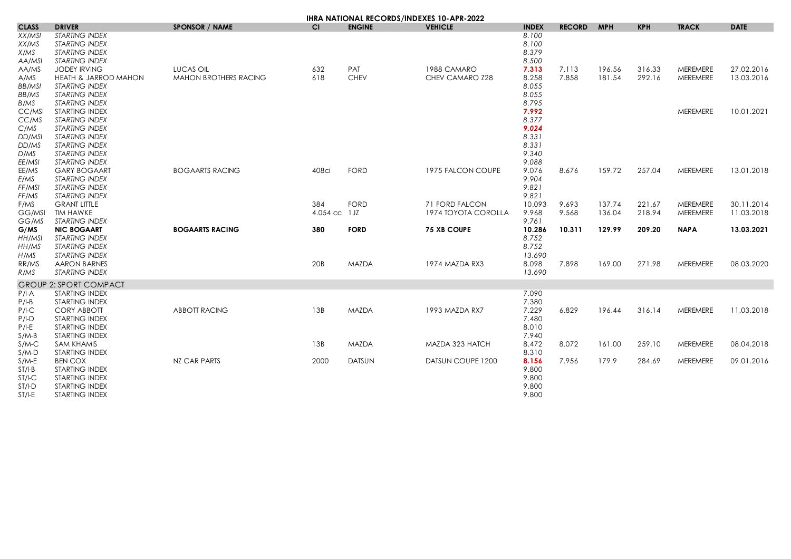| <b>IHRA NATIONAL RECORDS/INDEXES 10-APR-2022</b>             |                                                                                                                                                                             |                                           |                 |                      |                                       |                                                             |                |                  |                  |                      |                          |  |
|--------------------------------------------------------------|-----------------------------------------------------------------------------------------------------------------------------------------------------------------------------|-------------------------------------------|-----------------|----------------------|---------------------------------------|-------------------------------------------------------------|----------------|------------------|------------------|----------------------|--------------------------|--|
| <b>CLASS</b>                                                 | <b>DRIVER</b>                                                                                                                                                               | <b>SPONSOR / NAME</b>                     | <b>CI</b>       | <b>ENGINE</b>        | <b>VEHICLE</b>                        | <b>INDEX</b>                                                | <b>RECORD</b>  | <b>MPH</b>       | <b>KPH</b>       | <b>TRACK</b>         | <b>DATE</b>              |  |
| XX/MSI<br>XX/MS<br>X/MS<br>AA/MSI                            | <b>STARTING INDEX</b><br><b>STARTING INDEX</b><br><b>STARTING INDEX</b><br><b>STARTING INDEX</b>                                                                            |                                           |                 |                      |                                       | 8.100<br>8.100<br>8.379<br>8.500                            |                |                  |                  |                      |                          |  |
| AA/MS<br>A/MS<br><b>BB/MSI</b><br>BB/MS<br>B/MS              | <b>JODEY IRVING</b><br><b>HEATH &amp; JARROD MAHON</b><br><b>STARTING INDEX</b><br><b>STARTING INDEX</b><br><b>STARTING INDEX</b>                                           | LUCAS OIL<br><b>MAHON BROTHERS RACING</b> | 632<br>618      | PAT<br><b>CHEV</b>   | 1988 CAMARO<br>CHEV CAMARO Z28        | 7.313<br>8.258<br>8.055<br>8.055<br>8.795                   | 7.113<br>7.858 | 196.56<br>181.54 | 316.33<br>292.16 | MEREMERE<br>MEREMERE | 27.02.2016<br>13.03.2016 |  |
| CC/MSI<br>CC/MS<br>C/MS<br>DD/MSI<br>DD/MS<br>D/MS<br>EE/MSI | <b>STARTING INDEX</b><br><b>STARTING INDEX</b><br><b>STARTING INDEX</b><br><b>STARTING INDEX</b><br><b>STARTING INDEX</b><br><b>STARTING INDEX</b><br><b>STARTING INDEX</b> |                                           |                 |                      |                                       | 7.992<br>8.377<br>9.024<br>8.331<br>8.331<br>9.340<br>9.088 |                |                  |                  | MEREMERE             | 10.01.2021               |  |
| EE/MS<br>E/MS<br>FF/MSI<br>FF/MS                             | <b>GARY BOGAART</b><br><b>STARTING INDEX</b><br><b>STARTING INDEX</b><br><b>STARTING INDEX</b>                                                                              | <b>BOGAARTS RACING</b>                    | 408ci           | <b>FORD</b>          | 1975 FALCON COUPE                     | 9.076<br>9.904<br>9.821<br>9.821                            | 8.676          | 159.72           | 257.04           | MEREMERE             | 13.01.2018               |  |
| F/MS<br>GG/MSI<br>GG/MS                                      | <b>GRANT LITTLE</b><br><b>TIM HAWKE</b><br><b>STARTING INDEX</b>                                                                                                            |                                           | 384<br>4.054 cc | <b>FORD</b><br>1 J Z | 71 FORD FALCON<br>1974 TOYOTA COROLLA | 10.093<br>9.968<br>9.761                                    | 9.693<br>9.568 | 137.74<br>136.04 | 221.67<br>218.94 | MEREMERE<br>MEREMERE | 30.11.2014<br>11.03.2018 |  |
| G/MS<br>HH/MSI<br>HH/MS<br>H/MS                              | <b>NIC BOGAART</b><br><b>STARTING INDEX</b><br><b>STARTING INDEX</b><br><b>STARTING INDEX</b>                                                                               | <b>BOGAARTS RACING</b>                    | 380             | <b>FORD</b>          | <b>75 XB COUPE</b>                    | 10.286<br>8.752<br>8.752<br>13.690                          | 10.311         | 129.99           | 209.20           | <b>NAPA</b>          | 13.03.2021               |  |
| RR/MS<br>R/MS                                                | <b>AARON BARNES</b><br><b>STARTING INDEX</b>                                                                                                                                |                                           | 20 <sub>B</sub> | <b>MAZDA</b>         | 1974 MAZDA RX3                        | 8.098<br>13.690                                             | 7.898          | 169.00           | 271.98           | MEREMERE             | 08.03.2020               |  |
|                                                              | <b>GROUP 2: SPORT COMPACT</b>                                                                                                                                               |                                           |                 |                      |                                       |                                                             |                |                  |                  |                      |                          |  |
| $P/I-A$<br>$P/I-B$<br>$P/I-C$<br>$P/I-D$<br>$P/I-E$          | <b>STARTING INDEX</b><br><b>STARTING INDEX</b><br><b>CORY ABBOTT</b><br><b>STARTING INDEX</b><br><b>STARTING INDEX</b>                                                      | <b>ABBOTT RACING</b>                      | 13B             | <b>MAZDA</b>         | 1993 MAZDA RX7                        | 7.090<br>7.380<br>7.229<br>7.480<br>8.010                   | 6.829          | 196.44           | 316.14           | MEREMERE             | 11.03.2018               |  |
| $S/M-B$<br>S/M-C<br>$S/M-D$                                  | <b>STARTING INDEX</b><br><b>SAM KHAMIS</b><br><b>STARTING INDEX</b>                                                                                                         |                                           | 13B             | <b>MAZDA</b>         | MAZDA 323 HATCH                       | 7.940<br>8.472<br>8.310                                     | 8.072          | 161.00           | 259.10           | MEREMERE             | 08.04.2018               |  |
| $S/M-E$<br>$ST/I-B$<br>ST/I-C<br>$ST/I-D$<br>ST/IE           | <b>BEN COX</b><br><b>STARTING INDEX</b><br><b>STARTING INDEX</b><br>STARTING INDEX<br><b>STARTING INDEX</b>                                                                 | NZ CAR PARTS                              | 2000            | <b>DATSUN</b>        | DATSUN COUPE 1200                     | 8.156<br>9.800<br>9.800<br>9.800<br>9.800                   | 7.956          | 179.9            | 284.69           | MEREMERE             | 09.01.2016               |  |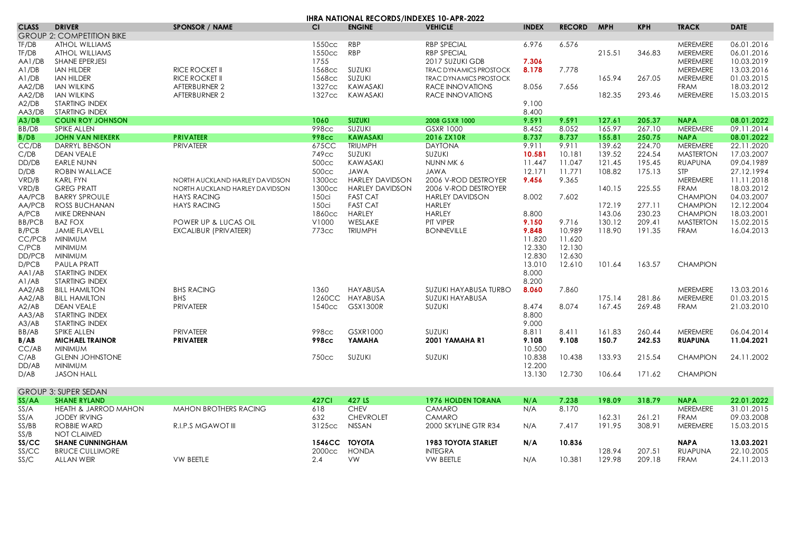| IHRA NATIONAL RECORDS/INDEXES 10-APR-2022 |                                                                  |                                                |                          |                          |                                                                |                |               |            |            |                                         |                                        |  |
|-------------------------------------------|------------------------------------------------------------------|------------------------------------------------|--------------------------|--------------------------|----------------------------------------------------------------|----------------|---------------|------------|------------|-----------------------------------------|----------------------------------------|--|
| <b>CLASS</b>                              | <b>DRIVER</b>                                                    | <b>SPONSOR / NAME</b>                          | CI                       | <b>ENGINE</b>            | <b>VEHICLE</b>                                                 | <b>INDEX</b>   | <b>RECORD</b> | <b>MPH</b> | <b>KPH</b> | <b>TRACK</b>                            | <b>DATE</b>                            |  |
|                                           | <b>GROUP 2: COMPETITION BIKE</b>                                 |                                                |                          |                          |                                                                |                |               |            |            |                                         |                                        |  |
| TF/DB<br>TF/DB<br>AA1/DB                  | <b>ATHOL WILLIAMS</b><br><b>ATHOL WILLIAMS</b><br>SHANE EPERJESI |                                                | 1550cc<br>1550cc<br>1755 | <b>RBP</b><br><b>RBP</b> | <b>RBP SPECIAL</b><br><b>RBP SPECIAL</b><br>2017 SUZUKI GDB    | 6.976<br>7.306 | 6.576         | 215.51     | 346.83     | MEREMERE<br>MEREMERE<br><b>MEREMERE</b> | 06.01.2016<br>06.01.2016<br>10.03.2019 |  |
| A1/DB<br>AI/DB                            | <b>IAN HILDER</b><br><b>IAN HILDER</b>                           | <b>RICE ROCKET II</b><br><b>RICE ROCKET II</b> | 1568cc<br>1568cc         | SUZUKI<br>SUZUKI         | <b>TRAC DYNAMICS PROSTOCK</b><br><b>TRAC DYNAMICS PROSTOCK</b> | 8.178          | 7.778         | 165.94     | 267.05     | MEREMERE<br>MEREMERE                    | 13.03.2016<br>01.03.2015               |  |
| AA2/DB<br>AA2/DB                          | <b>JAN WILKINS</b><br><b>IAN WILKINS</b>                         | AFTERBURNER 2<br>AFTERBURNER 2                 | 1327cc<br>1327cc         | KAWASAKI<br>KAWASAKI     | <b>RACE INNOVATIONS</b><br><b>RACE INNOVATIONS</b>             | 8.056          | 7.656         | 182.35     | 293.46     | <b>FRAM</b><br>MEREMERE                 | 18.03.2012<br>15.03.2015               |  |
| A2/DB<br>AA3/DB                           | <b>STARTING INDEX</b><br><b>STARTING INDEX</b>                   |                                                |                          |                          |                                                                | 9.100<br>8.400 |               |            |            |                                         |                                        |  |
| A3/DB                                     | <b>COLIN ROY JOHNSON</b>                                         |                                                | 1060                     | <b>SUZUKI</b>            | 2008 GSXR 1000                                                 | 9.591          | 9.591         | 127.61     | 205.37     | <b>NAPA</b>                             | 08.01.2022                             |  |
| BB/DB                                     | <b>SPIKE ALLEN</b>                                               |                                                | <b>998cc</b>             | <b>SUZUKI</b>            | <b>GSXR 1000</b>                                               | 8.452          | 8.052         | 165.97     | 267.10     | MEREMERE                                | 09.11.2014                             |  |
| B/DB                                      | <b>JOHN VAN NIEKERK</b>                                          | <b>PRIVATEER</b>                               | <b>998cc</b>             | <b>KAWASAKI</b>          | 2016 ZX10R                                                     | 8.737          | 8.737         | 155.81     | 250.75     | <b>NAPA</b>                             | 08.01.2022                             |  |
| CC/DB                                     | <b>DARRYL BENSON</b>                                             | <b>PRIVATEER</b>                               | 675CC                    | <b>TRIUMPH</b>           | <b>DAYTONA</b>                                                 | 9.911          | 9.911         | 139.62     | 224.70     | MEREMERE                                | 22.11.2020                             |  |
| C/DB                                      | <b>DEAN VEALE</b>                                                |                                                | 749cc                    | SUZUKI                   | SUZUKI                                                         | 10.581         | 10.181        | 139.52     | 224.54     | <b>MASTERTON</b>                        | 17.03.2007                             |  |
| DD/DB                                     | <b>EARLE NUNN</b>                                                |                                                | 500cc                    | KAWASAKI                 | NUNN MK 6                                                      | 11.447         | 11.047        | 121.45     | 195.45     | <b>RUAPUNA</b>                          | 09.04.1989                             |  |
| D/DB                                      | <b>ROBIN WALLACE</b>                                             |                                                | 500cc                    | <b>JAWA</b>              | <b>JAWA</b>                                                    | 12.171         | 11.771        | 108.82     | 175.13     | <b>STP</b>                              | 27.12.1994                             |  |
| VRD/B                                     | <b>KARL FYN</b>                                                  | NORTH AUCKLAND HARLEY DAVIDSON                 | 1300cc                   | <b>HARLEY DAVIDSON</b>   | 2006 V-ROD DESTROYER                                           | 9.456          | 9.365         |            |            | MEREMERE                                | 11.11.2018                             |  |
| VRD/B                                     | <b>GREG PRATT</b>                                                | NORTH AUCKLAND HARLEY DAVIDSON                 | 1300cc                   | <b>HARLEY DAVIDSON</b>   | 2006 V-ROD DESTROYER                                           |                |               | 140.15     | 225.55     | <b>FRAM</b>                             | 18.03.2012                             |  |
| AA/PCB                                    | <b>BARRY SPROULE</b>                                             | <b>HAYS RACING</b>                             | 150ci                    | <b>FAST CAT</b>          | <b>HARLEY DAVIDSON</b>                                         | 8.002          | 7.602         |            |            | <b>CHAMPION</b>                         | 04.03.2007                             |  |
| AA/PCB                                    | <b>ROSS BUCHANAN</b>                                             | <b>HAYS RACING</b>                             | 150ci                    | <b>FAST CAT</b>          | <b>HARLEY</b>                                                  |                |               | 172.19     | 277.11     | <b>CHAMPION</b>                         | 12.12.2004                             |  |
| A/PCB                                     | MIKE DRENNAN                                                     |                                                | 1860cc                   | <b>HARLEY</b>            | <b>HARLEY</b>                                                  | 8.800          |               | 143.06     | 230.23     | <b>CHAMPION</b>                         | 18.03.2001                             |  |
| <b>BB/PCB</b>                             | <b>BAZ FOX</b>                                                   | POWER UP & LUCAS OIL                           | V1000                    | WESLAKE                  | <b>PIT VIPER</b>                                               | 9.150          | 9.716         | 130.12     | 209.41     | <b>MASTERTON</b>                        | 15.02.2015                             |  |
| <b>B/PCB</b>                              | <b>JAMIE FLAVELL</b>                                             | <b>EXCALIBUR (PRIVATEER)</b>                   | 773cc                    | <b>TRIUMPH</b>           | <b>BONNEVILLE</b>                                              | 9.848          | 10.989        | 118.90     | 191.35     | <b>FRAM</b>                             | 16.04.2013                             |  |
| CC/PCB                                    | <b>MINIMUM</b>                                                   |                                                |                          |                          |                                                                | 11.820         | 11.620        |            |            |                                         |                                        |  |
| C/PCB                                     | <b>MINIMUM</b>                                                   |                                                |                          |                          |                                                                | 12.330         | 12.130        |            |            |                                         |                                        |  |
| DD/PCB                                    | <b>MINIMUM</b>                                                   |                                                |                          |                          |                                                                | 12.830         | 12.630        |            |            |                                         |                                        |  |
| D/PCB                                     | <b>PAULA PRATT</b>                                               |                                                |                          |                          |                                                                | 13.010         | 12.610        | 101.64     | 163.57     | <b>CHAMPION</b>                         |                                        |  |
| AA1/AB                                    | <b>STARTING INDEX</b>                                            |                                                |                          |                          |                                                                | 8.000          |               |            |            |                                         |                                        |  |
| A1/AB                                     | <b>STARTING INDEX</b>                                            |                                                |                          |                          |                                                                | 8.200          |               |            |            |                                         |                                        |  |
| AA2/AB                                    | <b>BILL HAMILTON</b>                                             | <b>BHS RACING</b>                              | 1360                     | <b>HAYABUSA</b>          | SUZUKI HAYABUSA TURBO                                          | 8.060          | 7.860         |            |            | <b>MEREMERE</b>                         | 13.03.2016                             |  |
| AA2/AB                                    | <b>BILL HAMILTON</b>                                             | <b>BHS</b>                                     | 1260CC                   | HAYABUSA                 | SUZUKI HAYABUSA                                                |                |               | 175.14     | 281.86     | MEREMERE                                | 01.03.2015                             |  |
| A2/AB                                     | <b>DEAN VEALE</b>                                                | <b>PRIVATEER</b>                               | 1540cc                   | <b>GSX1300R</b>          | SUZUKI                                                         | 8.474          | 8.074         | 167.45     | 269.48     | FRAM                                    | 21.03.2010                             |  |
| AA3/AB                                    | <b>STARTING INDEX</b>                                            |                                                |                          |                          |                                                                | 8.800          |               |            |            |                                         |                                        |  |
| A3/AB                                     | <b>STARTING INDEX</b>                                            |                                                |                          |                          |                                                                | 9.000          |               |            |            |                                         |                                        |  |
| BB/AB                                     | <b>SPIKE ALLEN</b>                                               | <b>PRIVATEER</b>                               | 998cc                    | GSXR1000                 | SUZUKI                                                         | 8.811          | 8.411         | 161.83     | 260.44     | MEREMERE                                | 06.04.2014                             |  |
| B/AB                                      | <b>MICHAEL TRAINOR</b>                                           | <b>PRIVATEER</b>                               | <b>998cc</b>             | YAMAHA                   | <b>2001 YAMAHA R1</b>                                          | 9.108          | 9.108         | 150.7      | 242.53     | <b>RUAPUNA</b>                          | 11.04.2021                             |  |
| CC/AB                                     | <b>MINIMUM</b>                                                   |                                                |                          |                          |                                                                | 10.500         |               |            |            |                                         |                                        |  |
| C/AB                                      | <b>GLENN JOHNSTONE</b>                                           |                                                | 750cc                    | SUZUKI                   | SUZUKI                                                         | 10.838         | 10.438        | 133.93     | 215.54     | <b>CHAMPION</b>                         | 24.11.2002                             |  |
| DD/AB                                     | <b>MINIMUM</b>                                                   |                                                |                          |                          |                                                                | 12.200         |               |            |            |                                         |                                        |  |
| D/AB                                      | <b>JASON HALL</b>                                                |                                                |                          |                          |                                                                | 13.130         | 12.730        | 106.64     | 171.62     | <b>CHAMPION</b>                         |                                        |  |
|                                           |                                                                  |                                                |                          |                          |                                                                |                |               |            |            |                                         |                                        |  |

|       | <b>GROUP 3: SUPER SEDAN</b> |                              |              |                  |                            |     |                 |        |                 |                 |            |  |  |  |
|-------|-----------------------------|------------------------------|--------------|------------------|----------------------------|-----|-----------------|--------|-----------------|-----------------|------------|--|--|--|
| SS/AA | <b>SHANE RYLAND</b>         |                              | <b>427CI</b> | 427 LS           | <b>1976 HOLDEN TORANA</b>  | N/A | 7.238           | 198.09 | 318.79          | <b>NAPA</b>     | 22.01.2022 |  |  |  |
| SS/A  | HEATH & JARROD MAHON        | <b>MAHON BROTHERS RACING</b> | 618          | CHEV             | <b>CAMARO</b>              | N/A | 8.170           |        |                 | MEREMERE        | 31.01.2015 |  |  |  |
| SS/A  | <b>JODEY IRVING</b>         |                              | 632          | <b>CHEVROLET</b> | <b>CAMARO</b>              |     |                 | 162.31 | 261.21          | <b>FRAM</b>     | 09.03.2008 |  |  |  |
| SS/BB | ROBBIE WARD                 | R.I.P.S MGAWOT III           | 3125cc       | <b>NISSAN</b>    | 2000 SKYLINE GTR R34       | N/A | $^{\prime}$ .41 | 191.95 | 308.9           | <b>MEREMERE</b> | 15.03.2015 |  |  |  |
| SS/B  | NOT CLAIMED                 |                              |              |                  |                            |     |                 |        |                 |                 |            |  |  |  |
| SS/CC | <b>SHANE CUNNINGHAM</b>     |                              |              | 1546CC TOYOTA    | <b>1983 TOYOTA STARLET</b> | N/A | 10.836          |        |                 | <b>NAPA</b>     | 13.03.2021 |  |  |  |
| SS/CC | <b>BRUCE CULLIMORE</b>      |                              | 2000cc       | <b>HONDA</b>     | <b>INTEGRA</b>             |     |                 | 128.94 | $207.5^{\circ}$ | RUAPUNA         | 22.10.2005 |  |  |  |
| SS/C  | ALLAN WEIR                  | VW BEETLE                    |              | VW               | VW BEETLE                  | N/A | 10.38           | 129.98 | 209.18          | <b>FRAM</b>     | 24.11.2013 |  |  |  |
|       |                             |                              |              |                  |                            |     |                 |        |                 |                 |            |  |  |  |